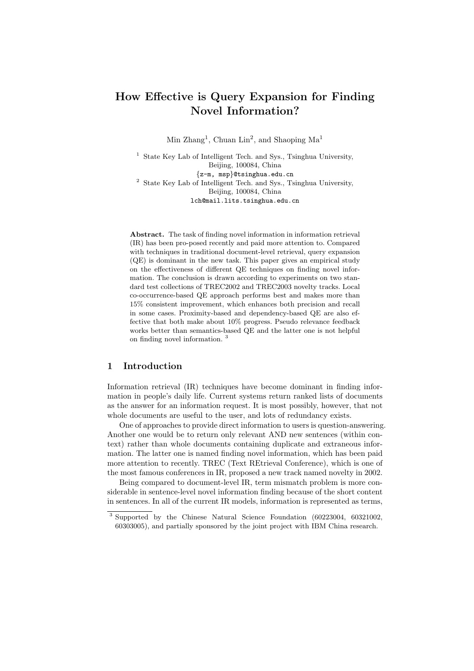# How Effective is Query Expansion for Finding Novel Information?

Min Zhang<sup>1</sup>, Chuan Lin<sup>2</sup>, and Shaoping Ma<sup>1</sup>

<sup>1</sup> State Key Lab of Intelligent Tech. and Sys., Tsinghua University, Beijing, 100084, China {z-m, msp}@tsinghua.edu.cn <sup>2</sup> State Key Lab of Intelligent Tech. and Sys., Tsinghua University, Beijing, 100084, China lch@mail.lits.tsinghua.edu.cn

Abstract. The task of finding novel information in information retrieval (IR) has been pro-posed recently and paid more attention to. Compared with techniques in traditional document-level retrieval, query expansion (QE) is dominant in the new task. This paper gives an empirical study on the effectiveness of different QE techniques on finding novel information. The conclusion is drawn according to experiments on two standard test collections of TREC2002 and TREC2003 novelty tracks. Local co-occurrence-based QE approach performs best and makes more than 15% consistent improvement, which enhances both precision and recall in some cases. Proximity-based and dependency-based QE are also effective that both make about 10% progress. Pseudo relevance feedback works better than semantics-based QE and the latter one is not helpful on finding novel information. <sup>3</sup>

# 1 Introduction

Information retrieval (IR) techniques have become dominant in finding information in people's daily life. Current systems return ranked lists of documents as the answer for an information request. It is most possibly, however, that not whole documents are useful to the user, and lots of redundancy exists.

One of approaches to provide direct information to users is question-answering. Another one would be to return only relevant AND new sentences (within context) rather than whole documents containing duplicate and extraneous information. The latter one is named finding novel information, which has been paid more attention to recently. TREC (Text REtrieval Conference), which is one of the most famous conferences in IR, proposed a new track named novelty in 2002.

Being compared to document-level IR, term mismatch problem is more considerable in sentence-level novel information finding because of the short content in sentences. In all of the current IR models, information is represented as terms,

<sup>3</sup> Supported by the Chinese Natural Science Foundation (60223004, 60321002, 60303005), and partially sponsored by the joint project with IBM China research.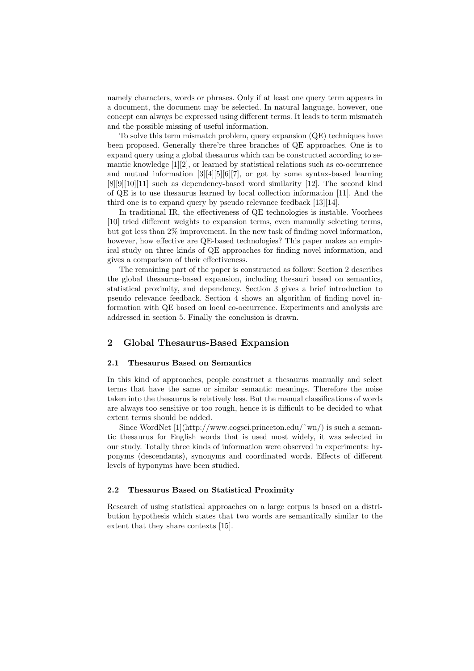namely characters, words or phrases. Only if at least one query term appears in a document, the document may be selected. In natural language, however, one concept can always be expressed using different terms. It leads to term mismatch and the possible missing of useful information.

To solve this term mismatch problem, query expansion (QE) techniques have been proposed. Generally there're three branches of QE approaches. One is to expand query using a global thesaurus which can be constructed according to semantic knowledge  $[1][2]$ , or learned by statistical relations such as co-occurrence and mutual information [3][4][5][6][7], or got by some syntax-based learning [8][9][10][11] such as dependency-based word similarity [12]. The second kind of QE is to use thesaurus learned by local collection information [11]. And the third one is to expand query by pseudo relevance feedback [13][14].

In traditional IR, the effectiveness of QE technologies is instable. Voorhees [10] tried different weights to expansion terms, even manually selecting terms, but got less than 2% improvement. In the new task of finding novel information, however, how effective are QE-based technologies? This paper makes an empirical study on three kinds of QE approaches for finding novel information, and gives a comparison of their effectiveness.

The remaining part of the paper is constructed as follow: Section 2 describes the global thesaurus-based expansion, including thesauri based on semantics, statistical proximity, and dependency. Section 3 gives a brief introduction to pseudo relevance feedback. Section 4 shows an algorithm of finding novel information with QE based on local co-occurrence. Experiments and analysis are addressed in section 5. Finally the conclusion is drawn.

## 2 Global Thesaurus-Based Expansion

## 2.1 Thesaurus Based on Semantics

In this kind of approaches, people construct a thesaurus manually and select terms that have the same or similar semantic meanings. Therefore the noise taken into the thesaurus is relatively less. But the manual classifications of words are always too sensitive or too rough, hence it is difficult to be decided to what extent terms should be added.

Since WordNet  $[1]$ (http://www.cogsci.princeton.edu/~wn/) is such a semantic thesaurus for English words that is used most widely, it was selected in our study. Totally three kinds of information were observed in experiments: hyponyms (descendants), synonyms and coordinated words. Effects of different levels of hyponyms have been studied.

#### 2.2 Thesaurus Based on Statistical Proximity

Research of using statistical approaches on a large corpus is based on a distribution hypothesis which states that two words are semantically similar to the extent that they share contexts [15].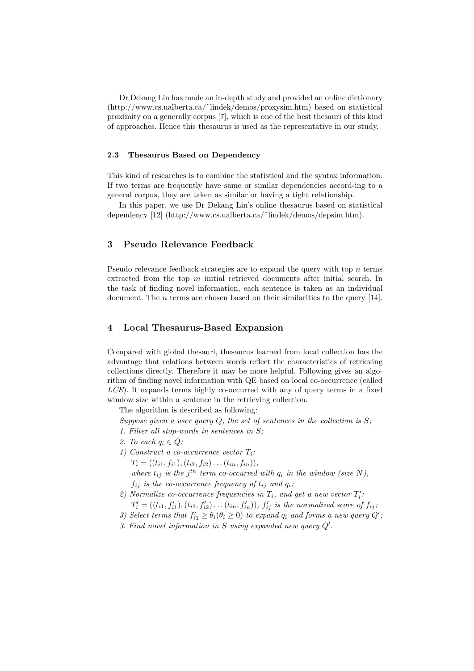Dr Dekang Lin has made an in-depth study and provided an online dictionary (http://www.cs.ualberta.ca/˜lindek/demos/proxysim.htm) based on statistical proximity on a generally corpus [7], which is one of the best thesauri of this kind of approaches. Hence this thesaurus is used as the representative in our study.

#### 2.3 Thesaurus Based on Dependency

This kind of researches is to combine the statistical and the syntax information. If two terms are frequently have same or similar dependencies accord-ing to a general corpus, they are taken as similar or having a tight relationship.

In this paper, we use Dr Dekang Lin's online thesaurus based on statistical dependency [12] (http://www.cs.ualberta.ca/˜lindek/demos/depsim.htm).

# 3 Pseudo Relevance Feedback

Pseudo relevance feedback strategies are to expand the query with top  $n$  terms extracted from the top  $m$  initial retrieved documents after initial search. In the task of finding novel information, each sentence is taken as an individual document. The *n* terms are chosen based on their similarities to the query [14].

# 4 Local Thesaurus-Based Expansion

Compared with global thesauri, thesaurus learned from local collection has the advantage that relations between words reflect the characteristics of retrieving collections directly. Therefore it may be more helpful. Following gives an algorithm of finding novel information with QE based on local co-occurrence (called  $LCE$ ). It expands terms highly co-occurred with any of query terms in a fixed window size within a sentence in the retrieving collection.

The algorithm is described as following:

Suppose given a user query  $Q$ , the set of sentences in the collection is  $S$ ;

- 1. Filter all stop-words in sentences in S;
- 2. To each  $q_i \in Q$ :
- 1) Construct a co-occurrence vector  $T_i$ :  $T_i = ((t_{i1}, f_{i1}), (t_{i2}, f_{i2}) \dots (t_{in}, f_{in})),$

where  $t_{ij}$  is the j<sup>th</sup> term co-occurred with  $q_i$  in the window (size N),  $f_{ij}$  is the co-occurrence frequency of  $t_{ij}$  and  $q_i$ ;

- 2) Normalize co-occurrence frequencies in  $T_i$ , and get a new vector  $T_i'$ .  $T'_{i} = ((t_{i1}, f'_{i1}), (t_{i2}, f'_{i2}) \dots (t_{in}, f'_{in}))$ ,  $f'_{ij}$  is the normalized score of  $f_{ij}$ ;
- 3) Select terms that  $f'_{i1} \geq \theta_i(\theta_i \geq 0)$  to expand  $q_i$  and forms a new query  $Q'$ ;
- 3. Find novel information in S using expanded new query  $Q'$ .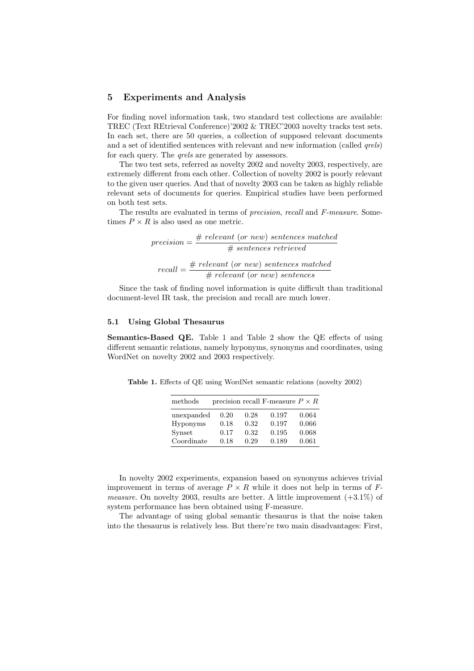## 5 Experiments and Analysis

For finding novel information task, two standard test collections are available: TREC (Text REtrieval Conference)'2002 & TREC'2003 novelty tracks test sets. In each set, there are 50 queries, a collection of supposed relevant documents and a set of identified sentences with relevant and new information (called *qrels*) for each query. The *qrels* are generated by assessors.

The two test sets, referred as novelty 2002 and novelty 2003, respectively, are extremely different from each other. Collection of novelty 2002 is poorly relevant to the given user queries. And that of novelty 2003 can be taken as highly reliable relevant sets of documents for queries. Empirical studies have been performed on both test sets.

The results are evaluated in terms of precision, recall and F-measure. Sometimes  $P \times R$  is also used as one metric.

$$
precision = \frac{\# \ relevant \ (or \ new) \ sentences \ matched}{\# \ sentences \ retrieved}
$$
\n
$$
recall = \frac{\# \ relevant \ (or \ new) \ sentences \ matched}{\# \ relevant \ (or \ new) \ sentences}
$$

Since the task of finding novel information is quite difficult than traditional document-level IR task, the precision and recall are much lower.

#### 5.1 Using Global Thesaurus

Semantics-Based QE. Table 1 and Table 2 show the QE effects of using different semantic relations, namely hyponyms, synonyms and coordinates, using WordNet on novelty 2002 and 2003 respectively.

Table 1. Effects of QE using WordNet semantic relations (novelty 2002)

| methods         |      |      | precision recall F-measure $P \times R$ |       |
|-----------------|------|------|-----------------------------------------|-------|
| unexpanded      | 0.20 | 0.28 | 0.197                                   | 0.064 |
| <b>Hyponyms</b> | 0.18 | 0.32 | 0.197                                   | 0.066 |
| Synset          | 0.17 | 0.32 | 0.195                                   | 0.068 |
| Coordinate      | 0.18 | 0.29 | 0.189                                   | 0.061 |

In novelty 2002 experiments, expansion based on synonyms achieves trivial improvement in terms of average  $P \times R$  while it does not help in terms of F*measure.* On novelty 2003, results are better. A little improvement  $(+3.1\%)$  of system performance has been obtained using F-measure.

The advantage of using global semantic thesaurus is that the noise taken into the thesaurus is relatively less. But there're two main disadvantages: First,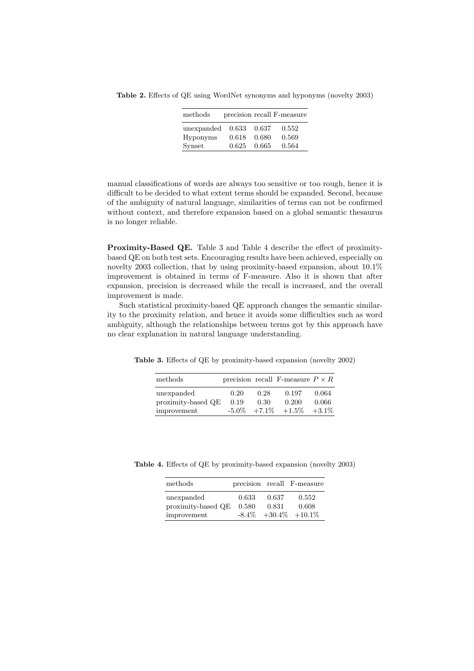Table 2. Effects of QE using WordNet synonyms and hyponyms (novelty 2003)

| methods    |       |       | precision recall F-measure |
|------------|-------|-------|----------------------------|
| unexpanded | 0.633 | 0.637 | 0.552                      |
| Hyponyms   | 0.618 | 0.680 | 0.569                      |
| Synset     | 0.625 | 0.665 | 0.564                      |

manual classifications of words are always too sensitive or too rough, hence it is difficult to be decided to what extent terms should be expanded. Second, because of the ambiguity of natural language, similarities of terms can not be confirmed without context, and therefore expansion based on a global semantic thesaurus is no longer reliable.

Proximity-Based QE. Table 3 and Table 4 describe the effect of proximitybased QE on both test sets. Encouraging results have been achieved, especially on novelty 2003 collection, that by using proximity-based expansion, about 10.1% improvement is obtained in terms of F-measure. Also it is shown that after expansion, precision is decreased while the recall is increased, and the overall improvement is made.

Such statistical proximity-based QE approach changes the semantic similarity to the proximity relation, and hence it avoids some difficulties such as word ambiguity, although the relationships between terms got by this approach have no clear explanation in natural language understanding.

Table 3. Effects of QE by proximity-based expansion (novelty 2002)

| methods            |          |          | precision recall F-measure $P \times R$ |          |
|--------------------|----------|----------|-----------------------------------------|----------|
| unexpanded         | 0.20     | 0.28     | 0.197                                   | 0.064    |
| proximity-based QE | 0.19     | 0.30     | 0.200                                   | 0.066    |
| improvement        | $-5.0\%$ | $+7.1\%$ | $+1.5\%$                                | $+3.1\%$ |

Table 4. Effects of QE by proximity-based expansion (novelty 2003)

| methods            |          |       | precision recall F-measure |
|--------------------|----------|-------|----------------------------|
| unexpanded         | 0.633    | 0.637 | 0.552                      |
| proximity-based QE | 0.580    | 0.831 | 0.608                      |
| improvement        | $-8.4\%$ |       | $+30.4\% +10.1\%$          |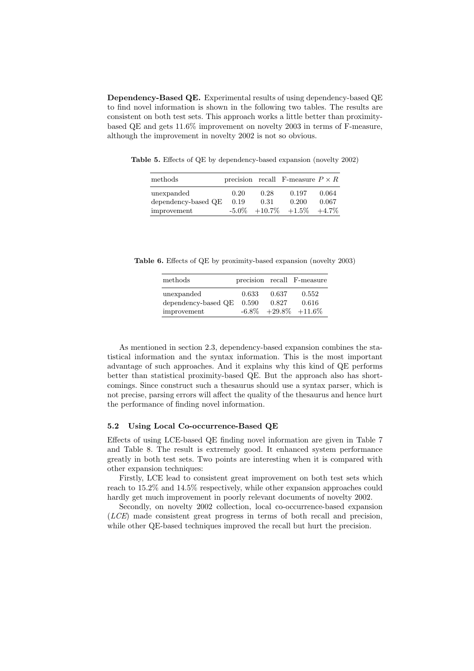Dependency-Based QE. Experimental results of using dependency-based QE to find novel information is shown in the following two tables. The results are consistent on both test sets. This approach works a little better than proximitybased QE and gets 11.6% improvement on novelty 2003 in terms of F-measure, although the improvement in novelty 2002 is not so obvious.

Table 5. Effects of QE by dependency-based expansion (novelty 2002)

| methods                           |              |              | precision recall F-measure $P \times R$ |                |
|-----------------------------------|--------------|--------------|-----------------------------------------|----------------|
| unexpanded<br>dependency-based QE | 0.20<br>0.19 | 0.28<br>0.31 | 0.197<br>0.200                          | 0.064<br>0.067 |
| improvement                       | $-5.0\%$     | $+10.7\%$    | $+1.5\%$                                | $+4.7\%$       |

Table 6. Effects of QE by proximity-based expansion (novelty 2003)

| methods                                          |                |                | precision recall F-measure                     |
|--------------------------------------------------|----------------|----------------|------------------------------------------------|
| unexpanded<br>dependency-based QE<br>improvement | 0.633<br>0.590 | 0.637<br>0.827 | 0.552<br>0.616<br>$-6.8\%$ $+29.8\%$ $+11.6\%$ |

As mentioned in section 2.3, dependency-based expansion combines the statistical information and the syntax information. This is the most important advantage of such approaches. And it explains why this kind of QE performs better than statistical proximity-based QE. But the approach also has shortcomings. Since construct such a thesaurus should use a syntax parser, which is not precise, parsing errors will affect the quality of the thesaurus and hence hurt the performance of finding novel information.

#### 5.2 Using Local Co-occurrence-Based QE

Effects of using LCE-based QE finding novel information are given in Table 7 and Table 8. The result is extremely good. It enhanced system performance greatly in both test sets. Two points are interesting when it is compared with other expansion techniques:

Firstly, LCE lead to consistent great improvement on both test sets which reach to 15.2% and 14.5% respectively, while other expansion approaches could hardly get much improvement in poorly relevant documents of novelty 2002.

Secondly, on novelty 2002 collection, local co-occurrence-based expansion (LCE) made consistent great progress in terms of both recall and precision, while other QE-based techniques improved the recall but hurt the precision.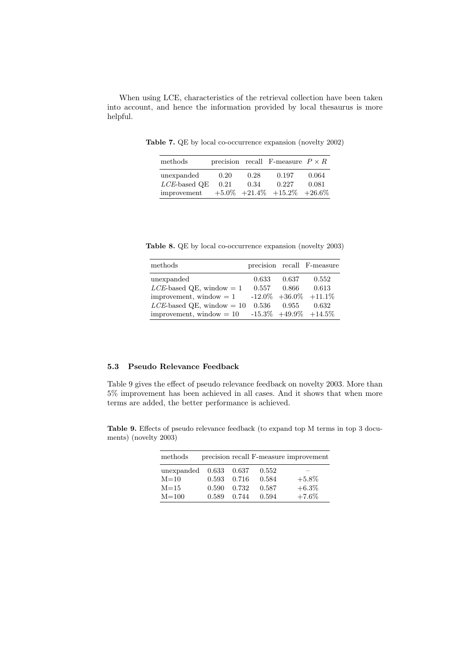When using LCE, characteristics of the retrieval collection have been taken into account, and hence the information provided by local thesaurus is more helpful.

Table 7. QE by local co-occurrence expansion (novelty 2002)

| methods         |      |      | precision recall F-measure $P \times R$ |           |
|-----------------|------|------|-----------------------------------------|-----------|
| unexpanded      | 0.20 | 0.28 | 0.197                                   | 0.064     |
| $LCE$ -based QE | 0.21 | 0.34 | 0.227                                   | 0.081     |
| improvement     |      |      | $+5.0\%$ $+21.4\%$ $+15.2\%$            | $+26.6\%$ |

Table 8. QE by local co-occurrence expansion (novelty 2003)

| methods                      |       |           | precision recall F-measure |
|------------------------------|-------|-----------|----------------------------|
| unexpanded                   | 0.633 | 0.637     | 0.552                      |
| $LCE$ -based QE, window = 1  | 0.557 | $0.866\,$ | 0.613                      |
| improvement, window $= 1$    |       |           | $-12.0\% +36.0\% +11.1\%$  |
| $LCE$ -based QE, window = 10 | 0.536 | 0.955     | 0.632                      |
| improvement, window $= 10$   |       |           | $-15.3\% +49.9\% +14.5\%$  |

# 5.3 Pseudo Relevance Feedback

Table 9 gives the effect of pseudo relevance feedback on novelty 2003. More than 5% improvement has been achieved in all cases. And it shows that when more terms are added, the better performance is achieved.

Table 9. Effects of pseudo relevance feedback (to expand top M terms in top 3 documents) (novelty 2003)

| methods                    |       |       |       | precision recall F-measure improvement |
|----------------------------|-------|-------|-------|----------------------------------------|
| unexpanded $0.633$ $0.637$ |       |       | 0.552 |                                        |
| $M=10$                     | 0.593 | 0.716 | 0.584 | $+5.8\%$                               |
| $M = 15$                   | 0.590 | 0.732 | 0.587 | $+6.3\%$                               |
| $M = 100$                  | 0.589 | 0.744 | 0.594 | $+7.6\%$                               |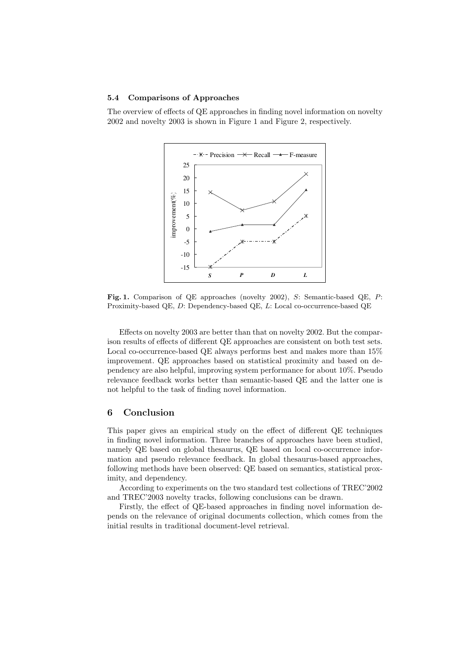#### 5.4 Comparisons of Approaches

The overview of effects of QE approaches in finding novel information on novelty 2002 and novelty 2003 is shown in Figure 1 and Figure 2, respectively.



Fig. 1. Comparison of QE approaches (novelty 2002), S: Semantic-based QE, P: Proximity-based QE, D: Dependency-based QE, L: Local co-occurrence-based QE

Effects on novelty 2003 are better than that on novelty 2002. But the comparison results of effects of different QE approaches are consistent on both test sets. Local co-occurrence-based QE always performs best and makes more than 15% improvement. QE approaches based on statistical proximity and based on dependency are also helpful, improving system performance for about 10%. Pseudo relevance feedback works better than semantic-based QE and the latter one is not helpful to the task of finding novel information.

## 6 Conclusion

This paper gives an empirical study on the effect of different QE techniques in finding novel information. Three branches of approaches have been studied, namely QE based on global thesaurus, QE based on local co-occurrence information and pseudo relevance feedback. In global thesaurus-based approaches, following methods have been observed: QE based on semantics, statistical proximity, and dependency.

According to experiments on the two standard test collections of TREC'2002 and TREC'2003 novelty tracks, following conclusions can be drawn.

Firstly, the effect of QE-based approaches in finding novel information depends on the relevance of original documents collection, which comes from the initial results in traditional document-level retrieval.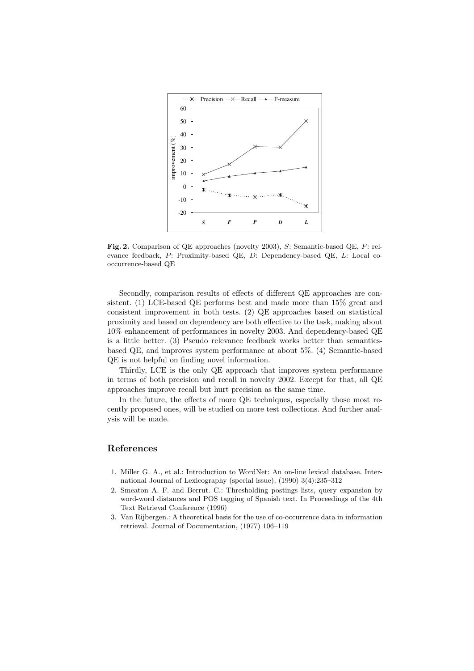

Fig. 2. Comparison of QE approaches (novelty 2003), S: Semantic-based QE, F: relevance feedback, P: Proximity-based QE, D: Dependency-based QE, L: Local cooccurrence-based QE

Secondly, comparison results of effects of different QE approaches are consistent. (1) LCE-based QE performs best and made more than 15% great and consistent improvement in both tests. (2) QE approaches based on statistical proximity and based on dependency are both effective to the task, making about 10% enhancement of performances in novelty 2003. And dependency-based QE is a little better. (3) Pseudo relevance feedback works better than semanticsbased QE, and improves system performance at about 5%. (4) Semantic-based QE is not helpful on finding novel information.

Thirdly, LCE is the only QE approach that improves system performance in terms of both precision and recall in novelty 2002. Except for that, all QE approaches improve recall but hurt precision as the same time.

In the future, the effects of more QE techniques, especially those most recently proposed ones, will be studied on more test collections. And further analysis will be made.

# References

- 1. Miller G. A., et al.: Introduction to WordNet: An on-line lexical database. International Journal of Lexicography (special issue), (1990) 3(4):235–312
- 2. Smeaton A. F. and Berrut. C.: Thresholding postings lists, query expansion by word-word distances and POS tagging of Spanish text. In Proceedings of the 4th Text Retrieval Conference (1996)
- 3. Van Rijbergen.: A theoretical basis for the use of co-occurrence data in information retrieval. Journal of Documentation, (1977) 106–119